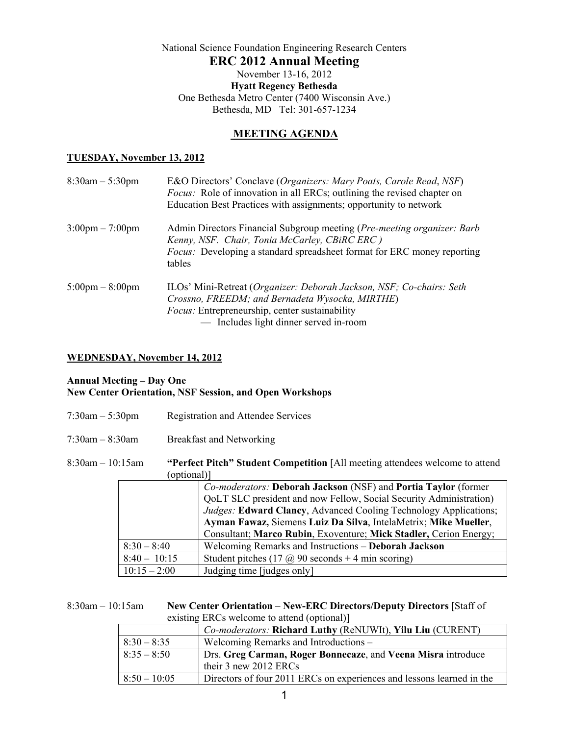National Science Foundation Engineering Research Centers **ERC 2012 Annual Meeting**  November 13-16, 2012 **Hyatt Regency Bethesda** One Bethesda Metro Center (7400 Wisconsin Ave.) Bethesda, MD Tel: 301-657-1234

## **MEETING AGENDA**

#### **TUESDAY, November 13, 2012**

| $8:30am - 5:30pm$                 | E&O Directors' Conclave (Organizers: Mary Poats, Carole Read, NSF)<br><i>Focus:</i> Role of innovation in all ERCs; outlining the revised chapter on<br>Education Best Practices with assignments; opportunity to network  |
|-----------------------------------|----------------------------------------------------------------------------------------------------------------------------------------------------------------------------------------------------------------------------|
| $3:00 \text{pm} - 7:00 \text{pm}$ | Admin Directors Financial Subgroup meeting (Pre-meeting organizer: Barb<br>Kenny, NSF. Chair, Tonia McCarley, CBiRC ERC)<br><i>Focus:</i> Developing a standard spreadsheet format for ERC money reporting<br>tables       |
| $5:00 \text{pm} - 8:00 \text{pm}$ | ILOs' Mini-Retreat (Organizer: Deborah Jackson, NSF; Co-chairs: Seth<br>Crossno, FREEDM; and Bernadeta Wysocka, MIRTHE)<br><i>Focus:</i> Entrepreneurship, center sustainability<br>- Includes light dinner served in-room |

## **WEDNESDAY, November 14, 2012**

#### **Annual Meeting – Day One New Center Orientation, NSF Session, and Open Workshops**

| $7:30am - 5:30pm$     |                |             | <b>Registration and Attendee Services</b>                                                                                                                                                                                                                                                                                                        |
|-----------------------|----------------|-------------|--------------------------------------------------------------------------------------------------------------------------------------------------------------------------------------------------------------------------------------------------------------------------------------------------------------------------------------------------|
| $7:30am - 8:30am$     |                |             | <b>Breakfast and Networking</b>                                                                                                                                                                                                                                                                                                                  |
| $8:30$ am $-10:15$ am |                | (optional)] | "Perfect Pitch" Student Competition [All meeting attendees welcome to attend                                                                                                                                                                                                                                                                     |
|                       |                |             | Co-moderators: Deborah Jackson (NSF) and Portia Taylor (former<br>QoLT SLC president and now Fellow, Social Security Administration)<br>Judges: Edward Clancy, Advanced Cooling Technology Applications;<br>Ayman Fawaz, Siemens Luiz Da Silva, IntelaMetrix; Mike Mueller,<br>Consultant; Marco Rubin, Exoventure; Mick Stadler, Cerion Energy; |
|                       | $8:30 - 8:40$  |             | Welcoming Remarks and Instructions - Deborah Jackson                                                                                                                                                                                                                                                                                             |
|                       | $8:40 - 10:15$ |             | Student pitches $(17 \omega)$ 90 seconds + 4 min scoring)                                                                                                                                                                                                                                                                                        |
|                       | $10:15 - 2:00$ |             | Judging time [judges only]                                                                                                                                                                                                                                                                                                                       |

#### 8:30am – 10:15am **New Center Orientation – New-ERC Directors/Deputy Directors** [Staff of existing ERCs welcome to attend (optional)]

| $\alpha$ existing $\alpha$ excess well control to all control $\alpha$ |  |
|------------------------------------------------------------------------|--|
| Co-moderators: Richard Luthy (ReNUWIt), Yilu Liu (CURENT)              |  |
| Welcoming Remarks and Introductions –                                  |  |
| Drs. Greg Carman, Roger Bonnecaze, and Veena Misra introduce           |  |
| their 3 new 2012 ERCs                                                  |  |
| Directors of four 2011 ERCs on experiences and lessons learned in the  |  |
|                                                                        |  |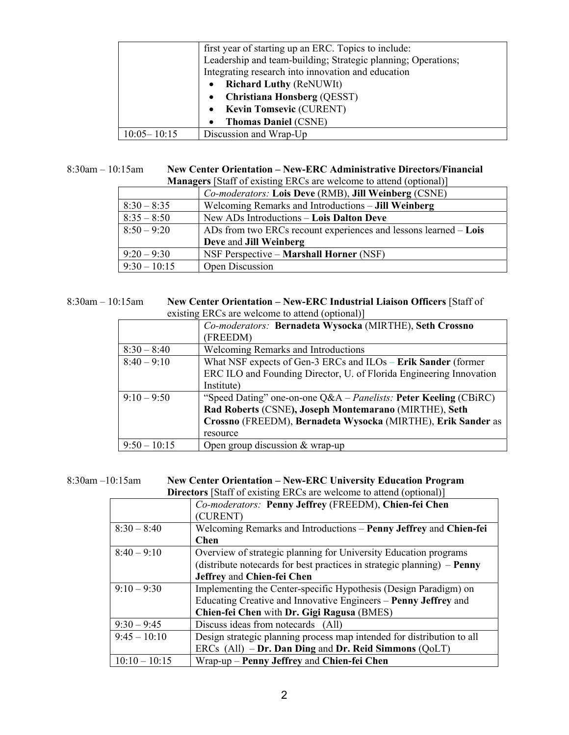|                 | first year of starting up an ERC. Topics to include:          |
|-----------------|---------------------------------------------------------------|
|                 | Leadership and team-building; Strategic planning; Operations; |
|                 | Integrating research into innovation and education            |
|                 | <b>Richard Luthy (ReNUWIt)</b>                                |
|                 | • Christiana Honsberg (QESST)                                 |
|                 | • Kevin Tomsevic (CURENT)                                     |
|                 | <b>Thomas Daniel (CSNE)</b><br>$\bullet$                      |
| $10:05 - 10:15$ | Discussion and Wrap-Up                                        |

## 8:30am – 10:15am **New Center Orientation – New-ERC Administrative Directors/Financial**

| <b>Managers</b> [Staff of existing ERCs are welcome to attend (optional)] |                                                                  |  |
|---------------------------------------------------------------------------|------------------------------------------------------------------|--|
|                                                                           | Co-moderators: Lois Deve (RMB), Jill Weinberg (CSNE)             |  |
| $8:30 - 8:35$                                                             | Welcoming Remarks and Introductions – Jill Weinberg              |  |
| $8:35 - 8:50$                                                             | New ADs Introductions – Lois Dalton Deve                         |  |
| $8:50 - 9:20$                                                             | ADs from two ERCs recount experiences and lessons learned - Lois |  |
|                                                                           | Deve and Jill Weinberg                                           |  |
| $9:20 - 9:30$                                                             | NSF Perspective – Marshall Horner (NSF)                          |  |
| $9:30 - 10:15$                                                            | Open Discussion                                                  |  |

#### 8:30am – 10:15am **New Center Orientation – New-ERC Industrial Liaison Officers** [Staff of existing ERCs are welcome to attend (optional)]

|                | $\alpha$ choosing Erros are wellowing to allow (optional)           |
|----------------|---------------------------------------------------------------------|
|                | Co-moderators: Bernadeta Wysocka (MIRTHE), Seth Crossno             |
|                | (FREEDM)                                                            |
| $8:30 - 8:40$  | <b>Welcoming Remarks and Introductions</b>                          |
| $8:40 - 9:10$  | What NSF expects of Gen-3 ERCs and ILOs – Erik Sander (former       |
|                | ERC ILO and Founding Director, U. of Florida Engineering Innovation |
|                | Institute)                                                          |
| $9:10-9:50$    | "Speed Dating" one-on-one Q&A – Panelists: Peter Keeling (CBiRC)    |
|                | Rad Roberts (CSNE), Joseph Montemarano (MIRTHE), Seth               |
|                | Crossno (FREEDM), Bernadeta Wysocka (MIRTHE), Erik Sander as        |
|                | resource                                                            |
| $9:50 - 10:15$ | Open group discussion $&$ wrap-up                                   |

## 8:30am –10:15am **New Center Orientation – New-ERC University Education Program**

**Directors** [Staff of existing ERCs are welcome to attend (optional)]

|                 | Co-moderators: Penny Jeffrey (FREEDM), Chien-fei Chen                   |
|-----------------|-------------------------------------------------------------------------|
|                 | (CURENT)                                                                |
| $8:30 - 8:40$   | Welcoming Remarks and Introductions – Penny Jeffrey and Chien-fei       |
|                 | <b>Chen</b>                                                             |
| $8:40 - 9:10$   | Overview of strategic planning for University Education programs        |
|                 | (distribute notecards for best practices in strategic planning) – Penny |
|                 | Jeffrey and Chien-fei Chen                                              |
| $9:10 - 9:30$   | Implementing the Center-specific Hypothesis (Design Paradigm) on        |
|                 | Educating Creative and Innovative Engineers – Penny Jeffrey and         |
|                 | Chien-fei Chen with Dr. Gigi Ragusa (BMES)                              |
| $9:30 - 9:45$   | Discuss ideas from notecards (All)                                      |
| $9:45 - 10:10$  | Design strategic planning process map intended for distribution to all  |
|                 | ERCs (All) - Dr. Dan Ding and Dr. Reid Simmons (QoLT)                   |
| $10:10 - 10:15$ | Wrap-up – Penny Jeffrey and Chien-fei Chen                              |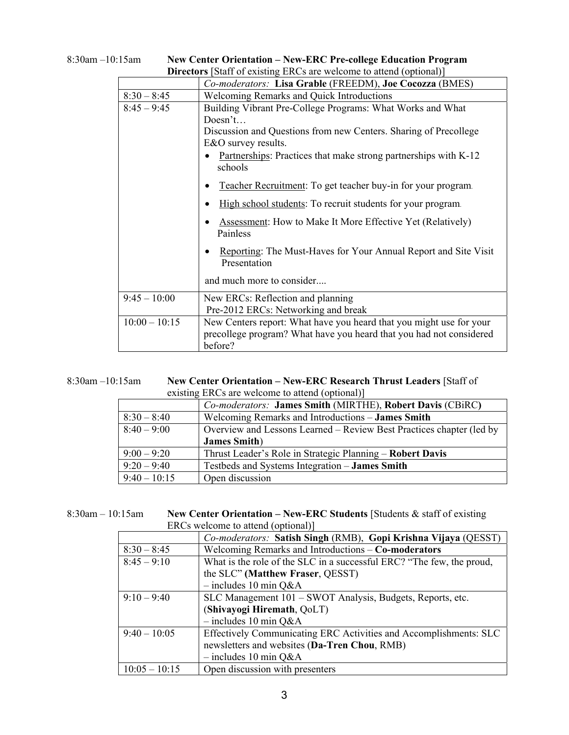|                 | <b>Directors</b> [Staff of existing ERCs are welcome to attend (optional)]                                                                            |
|-----------------|-------------------------------------------------------------------------------------------------------------------------------------------------------|
|                 | Co-moderators: Lisa Grable (FREEDM), Joe Cocozza (BMES)                                                                                               |
| $8:30 - 8:45$   | <b>Welcoming Remarks and Quick Introductions</b>                                                                                                      |
| $8:45 - 9:45$   | Building Vibrant Pre-College Programs: What Works and What                                                                                            |
|                 | Does n't                                                                                                                                              |
|                 | Discussion and Questions from new Centers. Sharing of Precollege                                                                                      |
|                 | E&O survey results.                                                                                                                                   |
|                 | Partnerships: Practices that make strong partnerships with K-12<br>schools                                                                            |
|                 | Teacher Recruitment: To get teacher buy-in for your program.                                                                                          |
|                 | High school students: To recruit students for your program.                                                                                           |
|                 | <b>Assessment:</b> How to Make It More Effective Yet (Relatively)<br>Painless                                                                         |
|                 | Reporting: The Must-Haves for Your Annual Report and Site Visit<br>Presentation                                                                       |
|                 | and much more to consider                                                                                                                             |
| $9:45 - 10:00$  | New ERCs: Reflection and planning<br>Pre-2012 ERCs: Networking and break                                                                              |
| $10:00 - 10:15$ | New Centers report: What have you heard that you might use for your<br>precollege program? What have you heard that you had not considered<br>before? |

| $8:30$ am $-10:15$ am | <b>New Center Orientation – New-ERC Pre-college Education Program</b>      |
|-----------------------|----------------------------------------------------------------------------|
|                       | <b>Directors</b> [Staff of existing ERCs are welcome to attend (optional)] |

| $8:30$ am $-10:15$ am | New Center Orientation – New-ERC Research Thrust Leaders [Staff of |
|-----------------------|--------------------------------------------------------------------|
|                       | existing ERCs are welcome to attend (optional)                     |

|                | $\alpha$ exploing Erros are wellowing to attend (optional)           |
|----------------|----------------------------------------------------------------------|
|                | Co-moderators: James Smith (MIRTHE), Robert Davis (CBiRC)            |
| $8:30 - 8:40$  | Welcoming Remarks and Introductions – James Smith                    |
| $8:40 - 9:00$  | Overview and Lessons Learned – Review Best Practices chapter (led by |
|                | <b>James Smith</b> )                                                 |
| $9:00 - 9:20$  | Thrust Leader's Role in Strategic Planning – Robert Davis            |
| $9:20 - 9:40$  | Testbeds and Systems Integration - James Smith                       |
| $9:40 - 10:15$ | Open discussion                                                      |

| $8:30$ am $-10:15$ am | <b>New Center Orientation – New-ERC Students [Students &amp; staff of existing</b> |
|-----------------------|------------------------------------------------------------------------------------|
|                       | ERCs welcome to attend (optional)]                                                 |

| ENUS WEICOME to attend (optional) |                                                                       |
|-----------------------------------|-----------------------------------------------------------------------|
|                                   | Co-moderators: Satish Singh (RMB), Gopi Krishna Vijaya (QESST)        |
| $8:30 - 8:45$                     | Welcoming Remarks and Introductions - Co-moderators                   |
| $8:45 - 9:10$                     | What is the role of the SLC in a successful ERC? "The few, the proud, |
|                                   | the SLC" (Matthew Fraser, QESST)                                      |
|                                   | $-$ includes 10 min Q&A                                               |
| $9:10 - 9:40$                     | SLC Management 101 - SWOT Analysis, Budgets, Reports, etc.            |
|                                   | (Shivayogi Hiremath, QoLT)                                            |
|                                   | $-$ includes 10 min Q&A                                               |
| $9:40-10:05$                      | Effectively Communicating ERC Activities and Accomplishments: SLC     |
|                                   | newsletters and websites (Da-Tren Chou, RMB)                          |
|                                   | $-$ includes 10 min Q&A                                               |
| $10:05 - 10:15$                   | Open discussion with presenters                                       |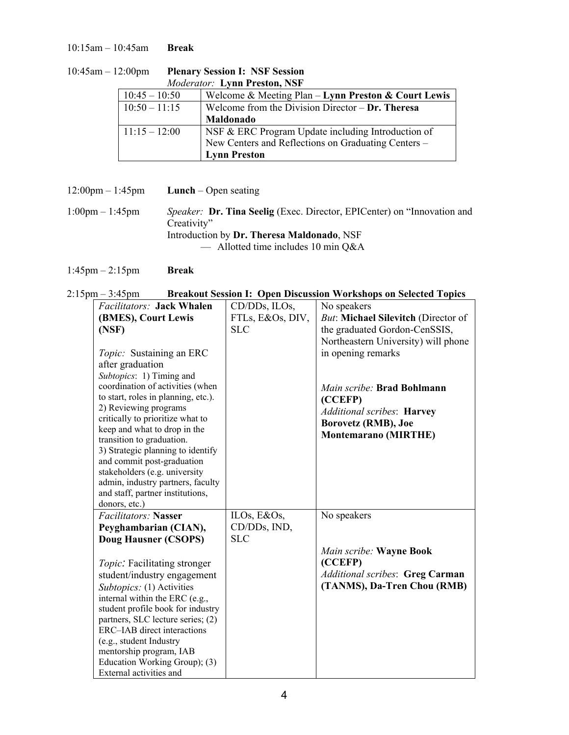10:15am – 10:45am **Break**

| <i>Moderator:</i> Lynn Preston, NSF |                                                     |  |
|-------------------------------------|-----------------------------------------------------|--|
| $10:45 - 10:50$                     | Welcome & Meeting Plan - Lynn Preston & Court Lewis |  |
| $10:50 - 11:15$                     | Welcome from the Division Director $-$ Dr. Theresa  |  |
|                                     | <b>Maldonado</b>                                    |  |
| $11:15 - 12:00$                     | NSF & ERC Program Update including Introduction of  |  |
|                                     | New Centers and Reflections on Graduating Centers – |  |
|                                     | <b>Lynn Preston</b>                                 |  |

| $10:45$ am $- 12:00$ pm | <b>Plenary Session I: NSF Session</b> |
|-------------------------|---------------------------------------|
|                         | <b>Moderator: Lynn Preston, NSF</b>   |

12:00pm – 1:45pm **Lunch** – Open seating 1:00pm – 1:45pm *Speaker:* **Dr. Tina Seelig** (Exec. Director, EPICenter) on "Innovation and Creativity" Introduction by **Dr. Theresa Maldonado**, NSF — Allotted time includes 10 min  $Q&A$ 

1:45pm – 2:15pm **Break**

| $2:15 \text{pm} - 3:45 \text{pm}$ | <b>Breakout Session I: Open Discussion Workshops on Selected Topics</b> |  |
|-----------------------------------|-------------------------------------------------------------------------|--|
|                                   |                                                                         |  |

| <b>Facilitators: Jack Whalen</b>                          | CD/DDs, ILOs,    | No speakers                            |
|-----------------------------------------------------------|------------------|----------------------------------------|
| (BMES), Court Lewis                                       | FTLs, E&Os, DIV, | But: Michael Silevitch (Director of    |
| (NSF)                                                     | <b>SLC</b>       | the graduated Gordon-CenSSIS,          |
|                                                           |                  | Northeastern University) will phone    |
| <i>Topic:</i> Sustaining an ERC                           |                  | in opening remarks                     |
| after graduation                                          |                  |                                        |
| Subtopics: 1) Timing and                                  |                  |                                        |
| coordination of activities (when                          |                  | Main scribe: Brad Bohlmann             |
| to start, roles in planning, etc.).                       |                  | (CCEFP)                                |
| 2) Reviewing programs                                     |                  | <b>Additional scribes: Harvey</b>      |
| critically to prioritize what to                          |                  | <b>Borovetz (RMB), Joe</b>             |
| keep and what to drop in the<br>transition to graduation. |                  | <b>Montemarano (MIRTHE)</b>            |
| 3) Strategic planning to identify                         |                  |                                        |
| and commit post-graduation                                |                  |                                        |
| stakeholders (e.g. university                             |                  |                                        |
| admin, industry partners, faculty                         |                  |                                        |
| and staff, partner institutions,                          |                  |                                        |
| donors, etc.)                                             |                  |                                        |
| <b>Facilitators: Nasser</b>                               | ILOs, E&Os,      | No speakers                            |
| Peyghambarian (CIAN),                                     | CD/DDs, IND,     |                                        |
| <b>Doug Hausner (CSOPS)</b>                               | <b>SLC</b>       |                                        |
|                                                           |                  | Main scribe: Wayne Book                |
| <i>Topic</i> . Facilitating stronger                      |                  | (CCEFP)                                |
| student/industry engagement                               |                  | <b>Additional scribes: Greg Carman</b> |
| Subtopics: (1) Activities                                 |                  | (TANMS), Da-Tren Chou (RMB)            |
| internal within the ERC (e.g.,                            |                  |                                        |
| student profile book for industry                         |                  |                                        |
| partners, SLC lecture series; (2)                         |                  |                                        |
| ERC-IAB direct interactions                               |                  |                                        |
| (e.g., student Industry                                   |                  |                                        |
| mentorship program, IAB                                   |                  |                                        |
| Education Working Group); (3)<br>External activities and  |                  |                                        |
|                                                           |                  |                                        |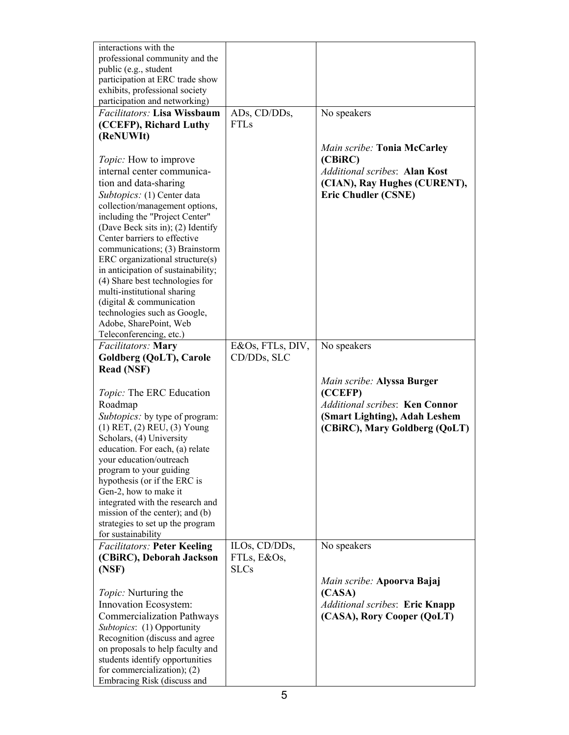| interactions with the<br>professional community and the<br>public (e.g., student<br>participation at ERC trade show<br>exhibits, professional society<br>participation and networking)                                                                                                                                                                                                                                                                                                                                                                                                         |                                             |                                                                                                                                                                 |
|------------------------------------------------------------------------------------------------------------------------------------------------------------------------------------------------------------------------------------------------------------------------------------------------------------------------------------------------------------------------------------------------------------------------------------------------------------------------------------------------------------------------------------------------------------------------------------------------|---------------------------------------------|-----------------------------------------------------------------------------------------------------------------------------------------------------------------|
| Facilitators: Lisa Wissbaum<br>(CCEFP), Richard Luthy<br>(ReNUWIt)<br>Topic: How to improve<br>internal center communica-<br>tion and data-sharing<br>Subtopics: (1) Center data<br>collection/management options,<br>including the "Project Center"<br>(Dave Beck sits in); (2) Identify<br>Center barriers to effective<br>communications; (3) Brainstorm<br>ERC organizational structure(s)<br>in anticipation of sustainability;<br>(4) Share best technologies for<br>multi-institutional sharing<br>(digital $&$ communication<br>technologies such as Google,<br>Adobe, SharePoint, Web | ADs, CD/DDs,<br><b>FTLs</b>                 | No speakers<br>Main scribe: Tonia McCarley<br>(CBiRC)<br><b>Additional scribes: Alan Kost</b><br>(CIAN), Ray Hughes (CURENT),<br><b>Eric Chudler (CSNE)</b>     |
| Teleconferencing, etc.)<br>Facilitators: Mary<br>Goldberg (QoLT), Carole<br><b>Read (NSF)</b><br>Topic: The ERC Education<br>Roadmap<br><i>Subtopics:</i> by type of program:<br>$(1)$ RET, $(2)$ REU, $(3)$ Young<br>Scholars, (4) University<br>education. For each, (a) relate<br>your education/outreach<br>program to your guiding<br>hypothesis (or if the ERC is<br>Gen-2, how to make it<br>integrated with the research and<br>mission of the center); and (b)<br>strategies to set up the program<br>for sustainability                                                              | E&Os, FTLs, DIV,<br>CD/DDs, SLC             | No speakers<br>Main scribe: Alyssa Burger<br>(CCEFP)<br><b>Additional scribes: Ken Connor</b><br>(Smart Lighting), Adah Leshem<br>(CBiRC), Mary Goldberg (QoLT) |
| <b>Facilitators: Peter Keeling</b><br>(CBiRC), Deborah Jackson<br>(NSF)<br><i>Topic:</i> Nurturing the<br>Innovation Ecosystem:<br><b>Commercialization Pathways</b><br>Subtopics: (1) Opportunity<br>Recognition (discuss and agree<br>on proposals to help faculty and<br>students identify opportunities<br>for commercialization); $(2)$<br>Embracing Risk (discuss and                                                                                                                                                                                                                    | ILOs, CD/DDs,<br>FTLs, E&Os,<br><b>SLCs</b> | No speakers<br>Main scribe: Apoorva Bajaj<br>(CASA)<br>Additional scribes: Eric Knapp<br>(CASA), Rory Cooper (QoLT)                                             |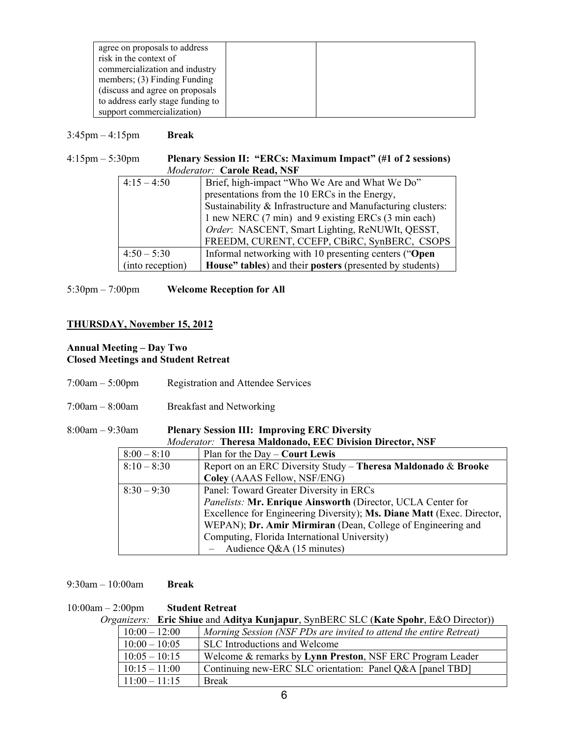| agree on proposals to address     |  |
|-----------------------------------|--|
| risk in the context of            |  |
| commercialization and industry    |  |
| members; $(3)$ Finding Funding    |  |
| (discuss and agree on proposals)  |  |
| to address early stage funding to |  |
| support commercialization)        |  |

#### 3:45pm – 4:15pm **Break**

#### 4:15pm – 5:30pm **Plenary Session II: "ERCs: Maximum Impact" (#1 of 2 sessions)** *Moderator:* **Carole Read, NSF**

| $4:15 - 4:50$    | Brief, high-impact "Who We Are and What We Do"              |  |
|------------------|-------------------------------------------------------------|--|
|                  | presentations from the 10 ERCs in the Energy,               |  |
|                  | Sustainability & Infrastructure and Manufacturing clusters: |  |
|                  | 1 new NERC (7 min) and 9 existing ERCs (3 min each)         |  |
|                  | Order: NASCENT, Smart Lighting, ReNUWIt, QESST,             |  |
|                  | FREEDM, CURENT, CCEFP, CBiRC, SynBERC, CSOPS                |  |
| $4:50 - 5:30$    | Informal networking with 10 presenting centers ("Open       |  |
| (into reception) | House" tables) and their posters (presented by students)    |  |

5:30pm – 7:00pm **Welcome Reception for All**

## **THURSDAY, November 15, 2012**

## **Annual Meeting – Day Two Closed Meetings and Student Retreat**

- 7:00am 5:00pm Registration and Attendee Services
- 7:00am 8:00am Breakfast and Networking

#### 8:00am – 9:30am **Plenary Session III: Improving ERC Diversity**

| Moderator: Theresa Maldonado, EEC Division Director, NSF |                                                                        |  |
|----------------------------------------------------------|------------------------------------------------------------------------|--|
| $8:00 - 8:10$                                            | Plan for the $Day -$ <b>Court Lewis</b>                                |  |
| $8:10 - 8:30$                                            | Report on an ERC Diversity Study - Theresa Maldonado & Brooke          |  |
|                                                          | Coley (AAAS Fellow, NSF/ENG)                                           |  |
| $8:30 - 9:30$                                            | Panel: Toward Greater Diversity in ERCs                                |  |
|                                                          | Panelists: Mr. Enrique Ainsworth (Director, UCLA Center for            |  |
|                                                          | Excellence for Engineering Diversity); Ms. Diane Matt (Exec. Director, |  |
|                                                          | WEPAN); Dr. Amir Mirmiran (Dean, College of Engineering and            |  |
|                                                          | Computing, Florida International University)                           |  |
|                                                          | - Audience Q&A $(15 \text{ minutes})$                                  |  |

#### 9:30am – 10:00am **Break**

#### 10:00am – 2:00pm **Student Retreat**

*Organizers:* **Eric Shiue** and **Aditya Kunjapur**, SynBERC SLC (**Kate Spohr**, E&O Director))

| $10:00 - 12:00$ | Morning Session (NSF PDs are invited to attend the entire Retreat) |
|-----------------|--------------------------------------------------------------------|
| $10:00 - 10:05$ | SLC Introductions and Welcome                                      |
| $10:05 - 10:15$ | Welcome & remarks by Lynn Preston, NSF ERC Program Leader          |
| $10:15 - 11:00$ | Continuing new-ERC SLC orientation: Panel Q&A [panel TBD]          |
| $11:00 - 11:15$ | <b>Break</b>                                                       |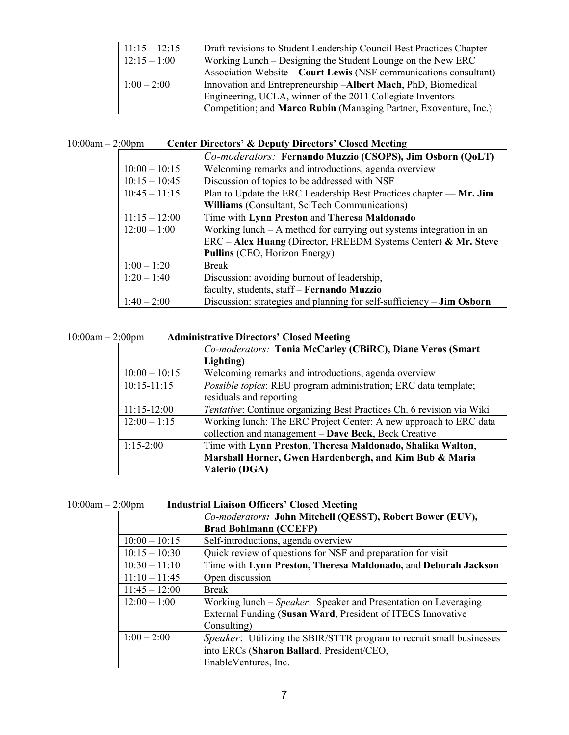|                 | Competition; and Marco Rubin (Managing Partner, Exoventure, Inc.)    |
|-----------------|----------------------------------------------------------------------|
|                 | Engineering, UCLA, winner of the 2011 Collegiate Inventors           |
| $1:00 - 2:00$   | Innovation and Entrepreneurship -Albert Mach, PhD, Biomedical        |
|                 | Association Website – Court Lewis (NSF communications consultant)    |
| $12:15 - 1:00$  | Working Lunch – Designing the Student Lounge on the New ERC          |
| $11:15 - 12:15$ | Draft revisions to Student Leadership Council Best Practices Chapter |

## 10:00am – 2:00pm **Center Directors' & Deputy Directors' Closed Meeting**

|                 | Co-moderators: Fernando Muzzio (CSOPS), Jim Osborn (QoLT)                    |  |
|-----------------|------------------------------------------------------------------------------|--|
| $10:00 - 10:15$ | Welcoming remarks and introductions, agenda overview                         |  |
| $10:15 - 10:45$ | Discussion of topics to be addressed with NSF                                |  |
| $10:45 - 11:15$ | Plan to Update the ERC Leadership Best Practices chapter — Mr. Jim           |  |
|                 | <b>Williams</b> (Consultant, SciTech Communications)                         |  |
| $11:15 - 12:00$ | Time with Lynn Preston and Theresa Maldonado                                 |  |
| $12:00 - 1:00$  | Working lunch $- A$ method for carrying out systems integration in an        |  |
|                 | $ERC - Alex Huang (Directory, FREEDM Systems Center) & Mr. Steve$            |  |
|                 | Pullins (CEO, Horizon Energy)                                                |  |
| $1:00 - 1:20$   | <b>Break</b>                                                                 |  |
| $1:20 - 1:40$   | Discussion: avoiding burnout of leadership,                                  |  |
|                 | faculty, students, staff - Fernando Muzzio                                   |  |
| $1:40 - 2:00$   | Discussion: strategies and planning for self-sufficiency – <b>Jim Osborn</b> |  |

## 10:00am – 2:00pm **Administrative Directors' Closed Meeting**

|                 | Co-moderators: Tonia McCarley (CBiRC), Diane Veros (Smart             |  |  |
|-----------------|-----------------------------------------------------------------------|--|--|
|                 | Lighting)                                                             |  |  |
| $10:00 - 10:15$ | Welcoming remarks and introductions, agenda overview                  |  |  |
| $10:15 - 11:15$ | Possible topics: REU program administration; ERC data template;       |  |  |
|                 | residuals and reporting                                               |  |  |
| $11:15-12:00$   | Tentative: Continue organizing Best Practices Ch. 6 revision via Wiki |  |  |
| $12:00 - 1:15$  | Working lunch: The ERC Project Center: A new approach to ERC data     |  |  |
|                 | collection and management - Dave Beck, Beck Creative                  |  |  |
| $1:15-2:00$     | Time with Lynn Preston, Theresa Maldonado, Shalika Walton,            |  |  |
|                 | Marshall Horner, Gwen Hardenbergh, and Kim Bub & Maria                |  |  |
|                 | <b>Valerio (DGA)</b>                                                  |  |  |

| $10:00am - 2:00pm$ | <b>Industrial Liaison Officers' Closed Meeting</b> |  |
|--------------------|----------------------------------------------------|--|
|--------------------|----------------------------------------------------|--|

|                 | Co-moderators: John Mitchell (QESST), Robert Bower (EUV),                    |  |  |
|-----------------|------------------------------------------------------------------------------|--|--|
|                 | <b>Brad Bohlmann (CCEFP)</b>                                                 |  |  |
| $10:00 - 10:15$ | Self-introductions, agenda overview                                          |  |  |
| $10:15 - 10:30$ | Quick review of questions for NSF and preparation for visit                  |  |  |
| $10:30 - 11:10$ | Time with Lynn Preston, Theresa Maldonado, and Deborah Jackson               |  |  |
| $11:10 - 11:45$ | Open discussion                                                              |  |  |
| $11:45 - 12:00$ | <b>Break</b>                                                                 |  |  |
| $12:00 - 1:00$  | Working lunch – Speaker: Speaker and Presentation on Leveraging              |  |  |
|                 | External Funding (Susan Ward, President of ITECS Innovative                  |  |  |
|                 | Consulting)                                                                  |  |  |
| $1:00 - 2:00$   | <i>Speaker</i> : Utilizing the SBIR/STTR program to recruit small businesses |  |  |
|                 | into ERCs (Sharon Ballard, President/CEO,                                    |  |  |
|                 | EnableVentures, Inc.                                                         |  |  |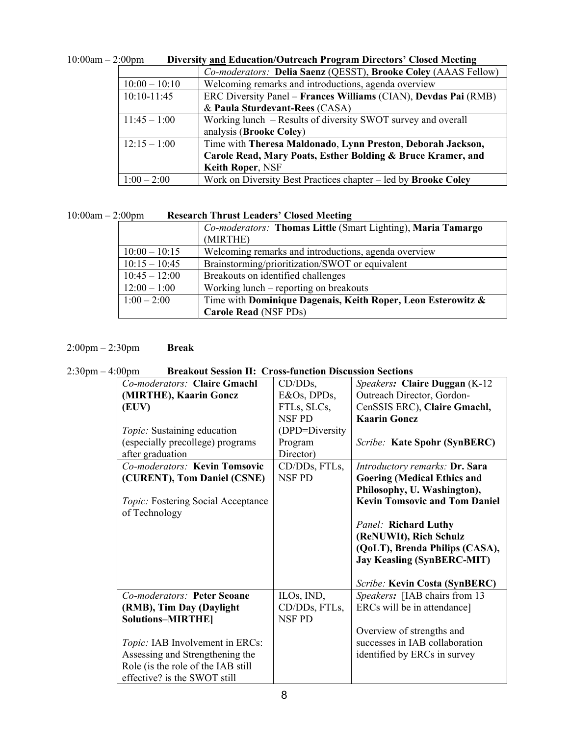| – 2.UUUIII<br>Diversity and Education/Outreach Frogram Directors Closed Meeting |                                                                       |  |  |
|---------------------------------------------------------------------------------|-----------------------------------------------------------------------|--|--|
|                                                                                 | Co-moderators: Delia Saenz (QESST), Brooke Coley (AAAS Fellow)        |  |  |
| $10:00 - 10:10$                                                                 | Welcoming remarks and introductions, agenda overview                  |  |  |
| $10:10 - 11:45$                                                                 | ERC Diversity Panel – Frances Williams (CIAN), Devdas Pai (RMB)       |  |  |
|                                                                                 | & Paula Sturdevant-Rees (CASA)                                        |  |  |
| $11:45 - 1:00$                                                                  | Working lunch – Results of diversity SWOT survey and overall          |  |  |
|                                                                                 | analysis (Brooke Coley)                                               |  |  |
| $12:15 - 1:00$                                                                  | Time with Theresa Maldonado, Lynn Preston, Deborah Jackson,           |  |  |
|                                                                                 | Carole Read, Mary Poats, Esther Bolding & Bruce Kramer, and           |  |  |
|                                                                                 | <b>Keith Roper, NSF</b>                                               |  |  |
| $1:00 - 2:00$                                                                   | Work on Diversity Best Practices chapter – led by <b>Brooke Coley</b> |  |  |

| $10:00am - 2:00pm$ | <b>Diversity and Education/Outreach Program Directors' Closed Meeting</b> |
|--------------------|---------------------------------------------------------------------------|
|                    |                                                                           |

## 10:00am – 2:00pm **Research Thrust Leaders' Closed Meeting**

|                 | Co-moderators: Thomas Little (Smart Lighting), Maria Tamargo<br>(MIRTHE) |  |
|-----------------|--------------------------------------------------------------------------|--|
| $10:00 - 10:15$ | Welcoming remarks and introductions, agenda overview                     |  |
| $10:15 - 10:45$ | Brainstorming/prioritization/SWOT or equivalent                          |  |
| $10:45 - 12:00$ | Breakouts on identified challenges                                       |  |
| $12:00 - 1:00$  | Working lunch – reporting on breakouts                                   |  |
| $1:00 - 2:00$   | Time with Dominique Dagenais, Keith Roper, Leon Esterowitz &             |  |
|                 | <b>Carole Read (NSF PDs)</b>                                             |  |

## 2:00pm – 2:30pm **Break**

## 2:30pm – 4:00pm **Breakout Session II: Cross-function Discussion Sections**

| Co-moderators: Claire Gmachl              | $CD/DDs$ ,     | Speakers: Claire Duggan (K-12)        |
|-------------------------------------------|----------------|---------------------------------------|
| (MIRTHE), Kaarin Goncz                    | E&Os, DPDs,    | Outreach Director, Gordon-            |
| (EUV)                                     | FTLs, SLCs,    | CenSSIS ERC), Claire Gmachl,          |
|                                           | <b>NSF PD</b>  | <b>Kaarin Gonez</b>                   |
| <i>Topic:</i> Sustaining education        | (DPD=Diversity |                                       |
| (especially precollege) programs          | Program        | Scribe: Kate Spohr (SynBERC)          |
| after graduation                          | Director)      |                                       |
| Co-moderators: Kevin Tomsovic             | CD/DDs, FTLs,  | <i>Introductory remarks: Dr. Sara</i> |
| (CURENT), Tom Daniel (CSNE)               | <b>NSF PD</b>  | <b>Goering (Medical Ethics and</b>    |
|                                           |                | Philosophy, U. Washington),           |
| <i>Topic:</i> Fostering Social Acceptance |                | <b>Kevin Tomsovic and Tom Daniel</b>  |
| of Technology                             |                |                                       |
|                                           |                | <b>Panel: Richard Luthy</b>           |
|                                           |                | (ReNUWIt), Rich Schulz                |
|                                           |                | (QoLT), Brenda Philips (CASA),        |
|                                           |                | <b>Jay Keasling (SynBERC-MIT)</b>     |
|                                           |                |                                       |
|                                           |                | Scribe: Kevin Costa (SynBERC)         |
| Co-moderators: Peter Seoane               | ILOs, IND,     | Speakers: [IAB chairs from 13         |
| (RMB), Tim Day (Daylight                  | CD/DDs, FTLs,  | ERCs will be in attendance]           |
| <b>Solutions-MIRTHE</b>                   | <b>NSF PD</b>  |                                       |
|                                           |                | Overview of strengths and             |
| <i>Topic:</i> IAB Involvement in ERCs:    |                | successes in IAB collaboration        |
| Assessing and Strengthening the           |                | identified by ERCs in survey          |
| Role (is the role of the IAB still        |                |                                       |
| effective? is the SWOT still              |                |                                       |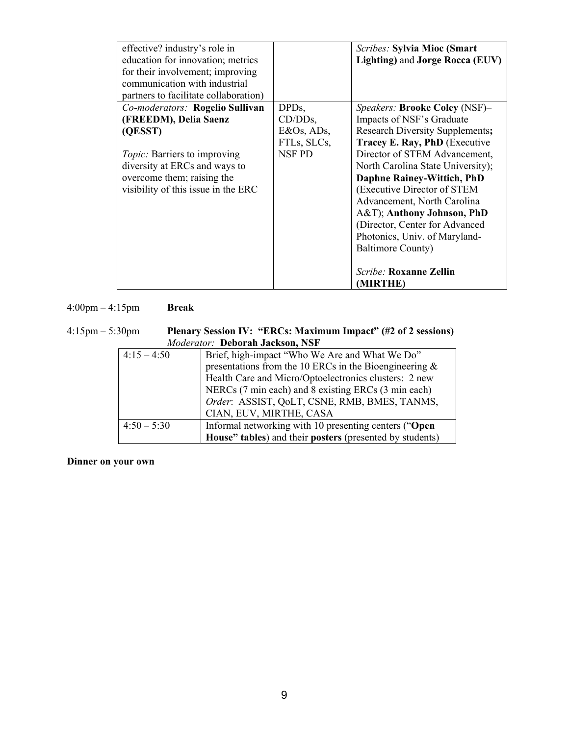| effective? industry's role in                                         |                  | <b>Scribes: Sylvia Mioc (Smart</b>     |
|-----------------------------------------------------------------------|------------------|----------------------------------------|
| education for innovation; metrics<br>for their involvement; improving |                  | Lighting) and Jorge Rocca (EUV)        |
| communication with industrial                                         |                  |                                        |
| partners to facilitate collaboration)                                 |                  |                                        |
| Co-moderators: Rogelio Sullivan                                       | DPD <sub>s</sub> | Speakers: <b>Brooke Coley</b> (NSF)-   |
| (FREEDM), Delia Saenz                                                 | $CD/DDs$ ,       | Impacts of NSF's Graduate              |
| (QESST)                                                               | E&Os, ADs,       | <b>Research Diversity Supplements;</b> |
|                                                                       | FTLs, SLCs,      | Tracey E. Ray, PhD (Executive          |
| <i>Topic:</i> Barriers to improving                                   | NSF PD           | Director of STEM Advancement,          |
| diversity at ERCs and ways to                                         |                  | North Carolina State University);      |
| overcome them; raising the                                            |                  | <b>Daphne Rainey-Wittich, PhD</b>      |
| visibility of this issue in the ERC                                   |                  | (Executive Director of STEM            |
|                                                                       |                  | Advancement, North Carolina            |
|                                                                       |                  | A&T); Anthony Johnson, PhD             |
|                                                                       |                  | (Director, Center for Advanced         |
|                                                                       |                  | Photonics, Univ. of Maryland-          |
|                                                                       |                  | <b>Baltimore County)</b>               |
|                                                                       |                  |                                        |
|                                                                       |                  | <i>Scribe:</i> Roxanne Zellin          |
|                                                                       |                  | (MIRTHE)                               |

4:00pm – 4:15pm **Break**

4:15pm – 5:30pm **Plenary Session IV: "ERCs: Maximum Impact" (#2 of 2 sessions)** *Moderator:* **Deborah Jackson, NSF**

| $110000100000$ . Depoint $9000000$ |                                                           |  |  |
|------------------------------------|-----------------------------------------------------------|--|--|
| $4:15 - 4:50$                      | Brief, high-impact "Who We Are and What We Do"            |  |  |
|                                    | presentations from the 10 ERCs in the Bioengineering $\&$ |  |  |
|                                    | Health Care and Micro/Optoelectronics clusters: 2 new     |  |  |
|                                    | NERCs (7 min each) and 8 existing ERCs (3 min each)       |  |  |
|                                    | Order: ASSIST, QoLT, CSNE, RMB, BMES, TANMS,              |  |  |
|                                    | CIAN, EUV, MIRTHE, CASA                                   |  |  |
| $4:50 - 5:30$                      | Informal networking with 10 presenting centers ("Open     |  |  |
|                                    | House" tables) and their posters (presented by students)  |  |  |

**Dinner on your own**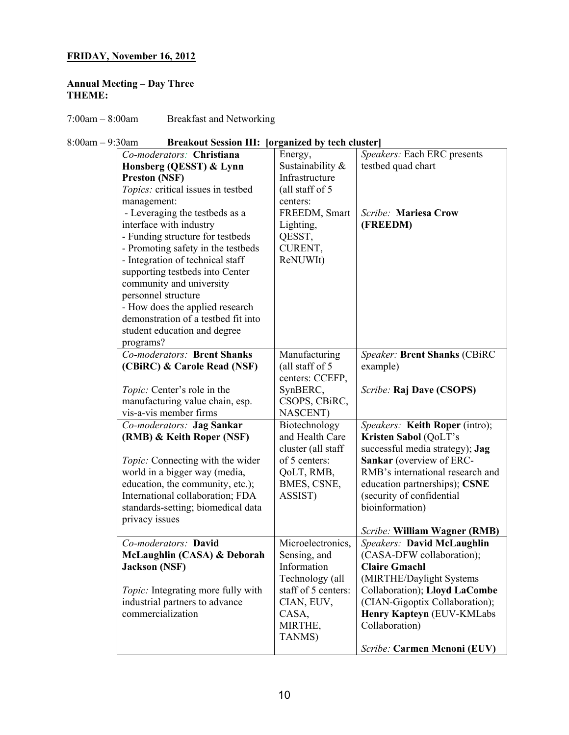## **FRIDAY, November 16, 2012**

## **Annual Meeting – Day Three THEME:**

7:00am – 8:00am Breakfast and Networking

| $8:00am - 9:30am$ | <b>Breakout Session III: [organized by tech cluster]</b> |
|-------------------|----------------------------------------------------------|
|                   |                                                          |

| Co-moderators: Christiana           | Energy,             | Speakers: Each ERC presents      |
|-------------------------------------|---------------------|----------------------------------|
| Honsberg (QESST) & Lynn             | Sustainability &    | testbed quad chart               |
| <b>Preston (NSF)</b>                | Infrastructure      |                                  |
| Topics: critical issues in testbed  | (all staff of 5)    |                                  |
| management:                         | centers:            |                                  |
| - Leveraging the testbeds as a      | FREEDM, Smart       | Scribe: Mariesa Crow             |
| interface with industry             | Lighting,           | (FREEDM)                         |
| - Funding structure for testbeds    | QESST,              |                                  |
| - Promoting safety in the testbeds  | CURENT,             |                                  |
| - Integration of technical staff    | ReNUWIt)            |                                  |
| supporting testbeds into Center     |                     |                                  |
| community and university            |                     |                                  |
| personnel structure                 |                     |                                  |
| - How does the applied research     |                     |                                  |
| demonstration of a testbed fit into |                     |                                  |
| student education and degree        |                     |                                  |
| programs?                           |                     |                                  |
| Co-moderators: Brent Shanks         | Manufacturing       | Speaker: Brent Shanks (CBiRC     |
| (CBiRC) & Carole Read (NSF)         | (all staff of 5)    | example)                         |
|                                     | centers: CCEFP,     |                                  |
| Topic: Center's role in the         | SynBERC,            | Scribe: Raj Dave (CSOPS)         |
| manufacturing value chain, esp.     | CSOPS, CBiRC,       |                                  |
| vis-a-vis member firms              | NASCENT)            |                                  |
| Co-moderators: Jag Sankar           | Biotechnology       | Speakers: Keith Roper (intro);   |
| (RMB) & Keith Roper (NSF)           | and Health Care     | Kristen Sabol (QoLT's            |
|                                     | cluster (all staff  | successful media strategy); Jag  |
| Topic: Connecting with the wider    | of 5 centers:       | Sankar (overview of ERC-         |
| world in a bigger way (media,       | QoLT, RMB,          | RMB's international research and |
| education, the community, etc.);    | BMES, CSNE,         | education partnerships); CSNE    |
| International collaboration; FDA    | ASSIST)             | (security of confidential        |
| standards-setting; biomedical data  |                     | bioinformation)                  |
| privacy issues                      |                     |                                  |
|                                     |                     | Scribe: William Wagner (RMB)     |
| Co-moderators: David                | Microelectronics,   | Speakers: David McLaughlin       |
| McLaughlin (CASA) & Deborah         | Sensing, and        | (CASA-DFW collaboration);        |
| <b>Jackson (NSF)</b>                | Information         | <b>Claire Gmachl</b>             |
|                                     | Technology (all     | (MIRTHE/Daylight Systems         |
| Topic: Integrating more fully with  | staff of 5 centers: | Collaboration); Lloyd LaCombe    |
| industrial partners to advance      | CIAN, EUV,          | (CIAN-Gigoptix Collaboration);   |
| commercialization                   | CASA,               | Henry Kapteyn (EUV-KMLabs        |
|                                     | MIRTHE,             | Collaboration)                   |
|                                     | TANMS)              |                                  |
|                                     |                     | Scribe: Carmen Menoni (EUV)      |